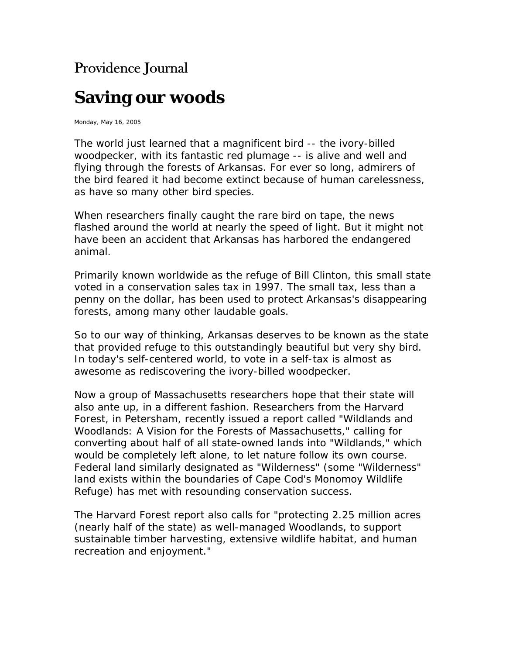## Providence Journal

## **Saving our woods**

Monday, May 16, 2005

The world just learned that a magnificent bird -- the ivory-billed woodpecker, with its fantastic red plumage -- is alive and well and flying through the forests of Arkansas. For ever so long, admirers of the bird feared it had become extinct because of human carelessness, as have so many other bird species.

When researchers finally caught the rare bird on tape, the news flashed around the world at nearly the speed of light. But it might not have been an accident that Arkansas has harbored the endangered animal.

Primarily known worldwide as the refuge of Bill Clinton, this small state voted in a conservation sales tax in 1997. The small tax, less than a penny on the dollar, has been used to protect Arkansas's disappearing forests, among many other laudable goals.

So to our way of thinking, Arkansas deserves to be known as the state that provided refuge to this outstandingly beautiful but very shy bird. In today's self-centered world, to vote in a self-tax is almost as awesome as rediscovering the ivory-billed woodpecker.

Now a group of Massachusetts researchers hope that their state will also ante up, in a different fashion. Researchers from the Harvard Forest, in Petersham, recently issued a report called "Wildlands and Woodlands: A Vision for the Forests of Massachusetts," calling for converting about half of all state-owned lands into "Wildlands," which would be completely left alone, to let nature follow its own course. Federal land similarly designated as "Wilderness" (some "Wilderness" land exists within the boundaries of Cape Cod's Monomoy Wildlife Refuge) has met with resounding conservation success.

The Harvard Forest report also calls for "protecting 2.25 million acres (nearly half of the state) as well-managed Woodlands, to support sustainable timber harvesting, extensive wildlife habitat, and human recreation and enjoyment."